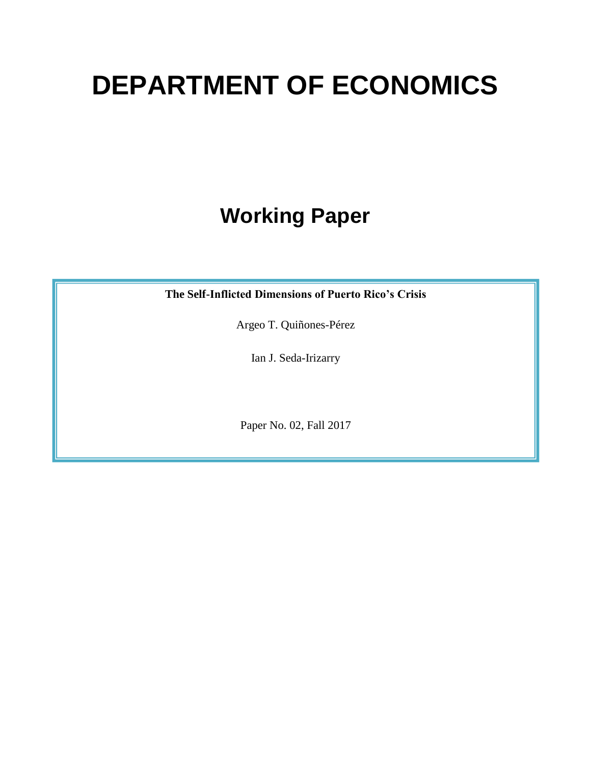# **DEPARTMENT OF ECONOMICS**

# **Working Paper**

**The Self-Inflicted Dimensions of Puerto Rico's Crisis** 

Argeo T. Quiñones-Pérez

Ian J. Seda-Irizarry

Paper No. 02, Fall 2017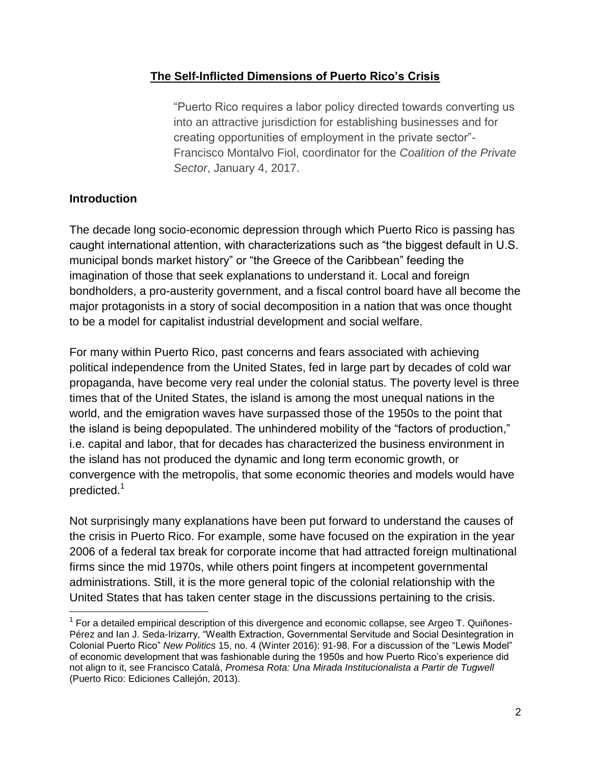#### **The Self-Inflicted Dimensions of Puerto Rico's Crisis**

"Puerto Rico requires a labor policy directed towards converting us into an attractive jurisdiction for establishing businesses and for creating opportunities of employment in the private sector"- Francisco Montalvo Fiol, coordinator for the *Coalition of the Private Sector*, January 4, 2017.

#### **Introduction**

The decade long socio-economic depression through which Puerto Rico is passing has caught international attention, with characterizations such as "the biggest default in U.S. municipal bonds market history" or "the Greece of the Caribbean" feeding the imagination of those that seek explanations to understand it. Local and foreign bondholders, a pro-austerity government, and a fiscal control board have all become the major protagonists in a story of social decomposition in a nation that was once thought to be a model for capitalist industrial development and social welfare.

For many within Puerto Rico, past concerns and fears associated with achieving political independence from the United States, fed in large part by decades of cold war propaganda, have become very real under the colonial status. The poverty level is three times that of the United States, the island is among the most unequal nations in the world, and the emigration waves have surpassed those of the 1950s to the point that the island is being depopulated. The unhindered mobility of the "factors of production," i.e. capital and labor, that for decades has characterized the business environment in the island has not produced the dynamic and long term economic growth, or convergence with the metropolis, that some economic theories and models would have predicted.<sup>1</sup>

Not surprisingly many explanations have been put forward to understand the causes of the crisis in Puerto Rico. For example, some have focused on the expiration in the year 2006 of a federal tax break for corporate income that had attracted foreign multinational firms since the mid 1970s, while others point fingers at incompetent governmental administrations. Still, it is the more general topic of the colonial relationship with the United States that has taken center stage in the discussions pertaining to the crisis.

<sup>&</sup>lt;sup>1</sup> For a detailed empirical description of this divergence and economic collapse, see Argeo T. Quiñones-Pérez and Ian J. Seda-Irizarry, "Wealth Extraction, Governmental Servitude and Social Desintegration in Colonial Puerto Rico" *New Politics* 15, no. 4 (Winter 2016): 91-98. For a discussion of the "Lewis Model" of economic development that was fashionable during the 1950s and how Puerto Rico's experience did not align to it, see Francisco Catalá, *Promesa Rota: Una Mirada Institucionalista a Partir de Tugwell* (Puerto Rico: Ediciones Callejón, 2013).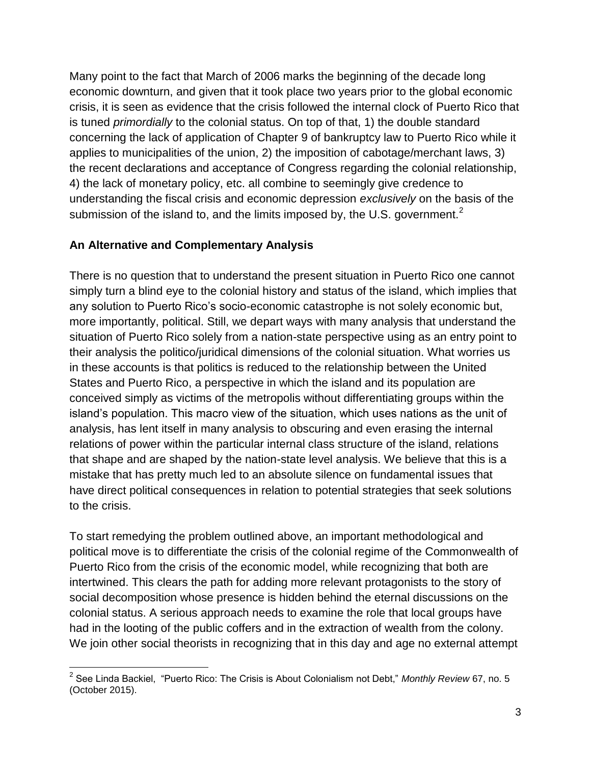Many point to the fact that March of 2006 marks the beginning of the decade long economic downturn, and given that it took place two years prior to the global economic crisis, it is seen as evidence that the crisis followed the internal clock of Puerto Rico that is tuned *primordially* to the colonial status. On top of that, 1) the double standard concerning the lack of application of Chapter 9 of bankruptcy law to Puerto Rico while it applies to municipalities of the union, 2) the imposition of cabotage/merchant laws, 3) the recent declarations and acceptance of Congress regarding the colonial relationship, 4) the lack of monetary policy, etc. all combine to seemingly give credence to understanding the fiscal crisis and economic depression *exclusively* on the basis of the submission of the island to, and the limits imposed by, the U.S. government.<sup>2</sup>

#### **An Alternative and Complementary Analysis**

There is no question that to understand the present situation in Puerto Rico one cannot simply turn a blind eye to the colonial history and status of the island, which implies that any solution to Puerto Rico's socio-economic catastrophe is not solely economic but, more importantly, political. Still, we depart ways with many analysis that understand the situation of Puerto Rico solely from a nation-state perspective using as an entry point to their analysis the politico/juridical dimensions of the colonial situation. What worries us in these accounts is that politics is reduced to the relationship between the United States and Puerto Rico, a perspective in which the island and its population are conceived simply as victims of the metropolis without differentiating groups within the island's population. This macro view of the situation, which uses nations as the unit of analysis, has lent itself in many analysis to obscuring and even erasing the internal relations of power within the particular internal class structure of the island, relations that shape and are shaped by the nation-state level analysis. We believe that this is a mistake that has pretty much led to an absolute silence on fundamental issues that have direct political consequences in relation to potential strategies that seek solutions to the crisis.

To start remedying the problem outlined above, an important methodological and political move is to differentiate the crisis of the colonial regime of the Commonwealth of Puerto Rico from the crisis of the economic model, while recognizing that both are intertwined. This clears the path for adding more relevant protagonists to the story of social decomposition whose presence is hidden behind the eternal discussions on the colonial status. A serious approach needs to examine the role that local groups have had in the looting of the public coffers and in the extraction of wealth from the colony. We join other social theorists in recognizing that in this day and age no external attempt

<sup>2</sup> See Linda Backiel, "Puerto Rico: The Crisis is About Colonialism not Debt," *Monthly Review* 67, no. 5 (October 2015).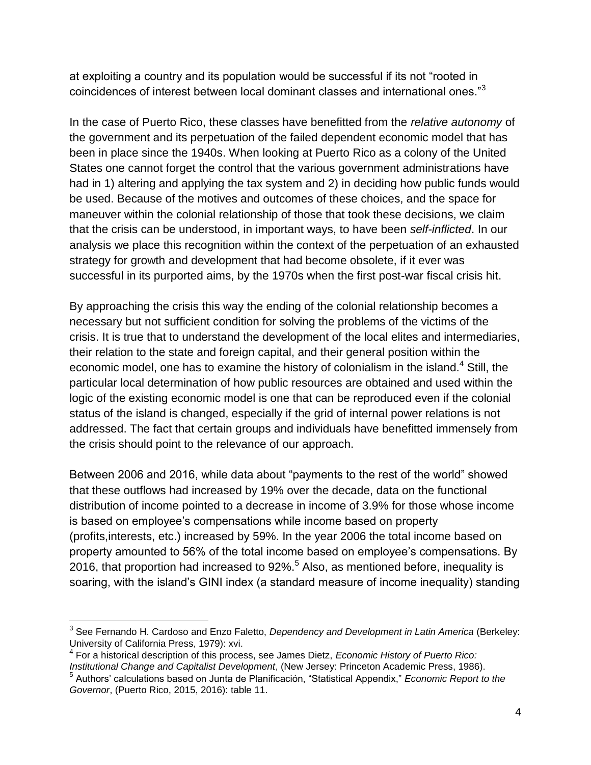at exploiting a country and its population would be successful if its not "rooted in coincidences of interest between local dominant classes and international ones."<sup>3</sup>

In the case of Puerto Rico, these classes have benefitted from the *relative autonomy* of the government and its perpetuation of the failed dependent economic model that has been in place since the 1940s. When looking at Puerto Rico as a colony of the United States one cannot forget the control that the various government administrations have had in 1) altering and applying the tax system and 2) in deciding how public funds would be used. Because of the motives and outcomes of these choices, and the space for maneuver within the colonial relationship of those that took these decisions, we claim that the crisis can be understood, in important ways, to have been *self-inflicted*. In our analysis we place this recognition within the context of the perpetuation of an exhausted strategy for growth and development that had become obsolete, if it ever was successful in its purported aims, by the 1970s when the first post-war fiscal crisis hit.

By approaching the crisis this way the ending of the colonial relationship becomes a necessary but not sufficient condition for solving the problems of the victims of the crisis. It is true that to understand the development of the local elites and intermediaries, their relation to the state and foreign capital, and their general position within the economic model, one has to examine the history of colonialism in the island.<sup>4</sup> Still, the particular local determination of how public resources are obtained and used within the logic of the existing economic model is one that can be reproduced even if the colonial status of the island is changed, especially if the grid of internal power relations is not addressed. The fact that certain groups and individuals have benefitted immensely from the crisis should point to the relevance of our approach.

Between 2006 and 2016, while data about "payments to the rest of the world" showed that these outflows had increased by 19% over the decade, data on the functional distribution of income pointed to a decrease in income of 3.9% for those whose income is based on employee's compensations while income based on property (profits,interests, etc.) increased by 59%. In the year 2006 the total income based on property amounted to 56% of the total income based on employee's compensations. By 2016, that proportion had increased to 92%.<sup>5</sup> Also, as mentioned before, inequality is soaring, with the island's GINI index (a standard measure of income inequality) standing

<sup>3</sup> See Fernando H. Cardoso and Enzo Faletto, *Dependency and Development in Latin America* (Berkeley: University of California Press, 1979): xvi.

<sup>4</sup> For a historical description of this process, see James Dietz, *Economic History of Puerto Rico: Institutional Change and Capitalist Development*, (New Jersey: Princeton Academic Press, 1986).

<sup>5</sup> Authors' calculations based on Junta de Planificación, "Statistical Appendix," *Economic Report to the Governor*, (Puerto Rico, 2015, 2016): table 11.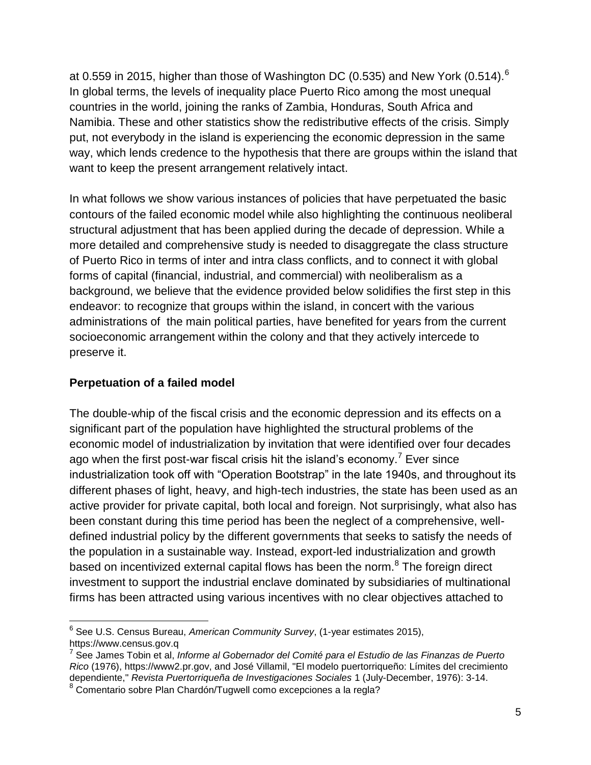at 0.559 in 2015, higher than those of Washington DC (0.535) and New York (0.514).<sup>6</sup> In global terms, the levels of inequality place Puerto Rico among the most unequal countries in the world, joining the ranks of Zambia, Honduras, South Africa and Namibia. These and other statistics show the redistributive effects of the crisis. Simply put, not everybody in the island is experiencing the economic depression in the same way, which lends credence to the hypothesis that there are groups within the island that want to keep the present arrangement relatively intact.

In what follows we show various instances of policies that have perpetuated the basic contours of the failed economic model while also highlighting the continuous neoliberal structural adjustment that has been applied during the decade of depression. While a more detailed and comprehensive study is needed to disaggregate the class structure of Puerto Rico in terms of inter and intra class conflicts, and to connect it with global forms of capital (financial, industrial, and commercial) with neoliberalism as a background, we believe that the evidence provided below solidifies the first step in this endeavor: to recognize that groups within the island, in concert with the various administrations of the main political parties, have benefited for years from the current socioeconomic arrangement within the colony and that they actively intercede to preserve it.

#### **Perpetuation of a failed model**

 $\overline{a}$ 

The double-whip of the fiscal crisis and the economic depression and its effects on a significant part of the population have highlighted the structural problems of the economic model of industrialization by invitation that were identified over four decades ago when the first post-war fiscal crisis hit the island's economy.<sup>7</sup> Ever since industrialization took off with "Operation Bootstrap" in the late 1940s, and throughout its different phases of light, heavy, and high-tech industries, the state has been used as an active provider for private capital, both local and foreign. Not surprisingly, what also has been constant during this time period has been the neglect of a comprehensive, welldefined industrial policy by the different governments that seeks to satisfy the needs of the population in a sustainable way. Instead, export-led industrialization and growth based on incentivized external capital flows has been the norm.<sup>8</sup> The foreign direct investment to support the industrial enclave dominated by subsidiaries of multinational firms has been attracted using various incentives with no clear objectives attached to

<sup>6</sup> See U.S. Census Bureau, *American Community Survey*, (1-year estimates 2015), https://www.census.gov.q

<sup>7</sup> See James Tobin et al, *Informe al Gobernador del Comité para el Estudio de las Finanzas de Puerto Rico* (1976), https://www2.pr.gov, and José Villamil, "El modelo puertorriqueño: Límites del crecimiento dependiente," *Revista Puertorriqueña de Investigaciones Sociales* 1 (July-December, 1976): 3-14.

<sup>&</sup>lt;sup>8</sup> Comentario sobre Plan Chardón/Tugwell como excepciones a la regla?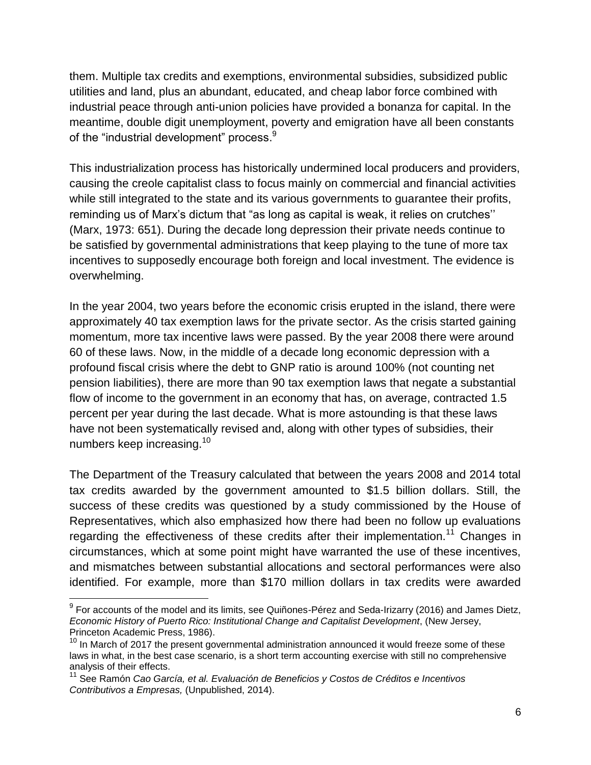them. Multiple tax credits and exemptions, environmental subsidies, subsidized public utilities and land, plus an abundant, educated, and cheap labor force combined with industrial peace through anti-union policies have provided a bonanza for capital. In the meantime, double digit unemployment, poverty and emigration have all been constants of the "industrial development" process. $^9$ 

This industrialization process has historically undermined local producers and providers, causing the creole capitalist class to focus mainly on commercial and financial activities while still integrated to the state and its various governments to guarantee their profits, reminding us of Marx's dictum that "as long as capital is weak, it relies on crutches'' (Marx, 1973: 651). During the decade long depression their private needs continue to be satisfied by governmental administrations that keep playing to the tune of more tax incentives to supposedly encourage both foreign and local investment. The evidence is overwhelming.

In the year 2004, two years before the economic crisis erupted in the island, there were approximately 40 tax exemption laws for the private sector. As the crisis started gaining momentum, more tax incentive laws were passed. By the year 2008 there were around 60 of these laws. Now, in the middle of a decade long economic depression with a profound fiscal crisis where the debt to GNP ratio is around 100% (not counting net pension liabilities), there are more than 90 tax exemption laws that negate a substantial flow of income to the government in an economy that has, on average, contracted 1.5 percent per year during the last decade. What is more astounding is that these laws have not been systematically revised and, along with other types of subsidies, their numbers keep increasing.<sup>10</sup>

The Department of the Treasury calculated that between the years 2008 and 2014 total tax credits awarded by the government amounted to \$1.5 billion dollars. Still, the success of these credits was questioned by a study commissioned by the House of Representatives, which also emphasized how there had been no follow up evaluations regarding the effectiveness of these credits after their implementation.<sup>11</sup> Changes in circumstances, which at some point might have warranted the use of these incentives, and mismatches between substantial allocations and sectoral performances were also identified. For example, more than \$170 million dollars in tax credits were awarded

 $^9$  For accounts of the model and its limits, see Quiñones-Pérez and Seda-Irizarry (2016) and James Dietz, *Economic History of Puerto Rico: Institutional Change and Capitalist Development*, (New Jersey, Princeton Academic Press, 1986).

 $10$  In March of 2017 the present governmental administration announced it would freeze some of these laws in what, in the best case scenario, is a short term accounting exercise with still no comprehensive analysis of their effects.

<sup>11</sup> See Ramón *Cao García, et al. Evaluación de Beneficios y Costos de Créditos e Incentivos Contributivos a Empresas,* (Unpublished, 2014).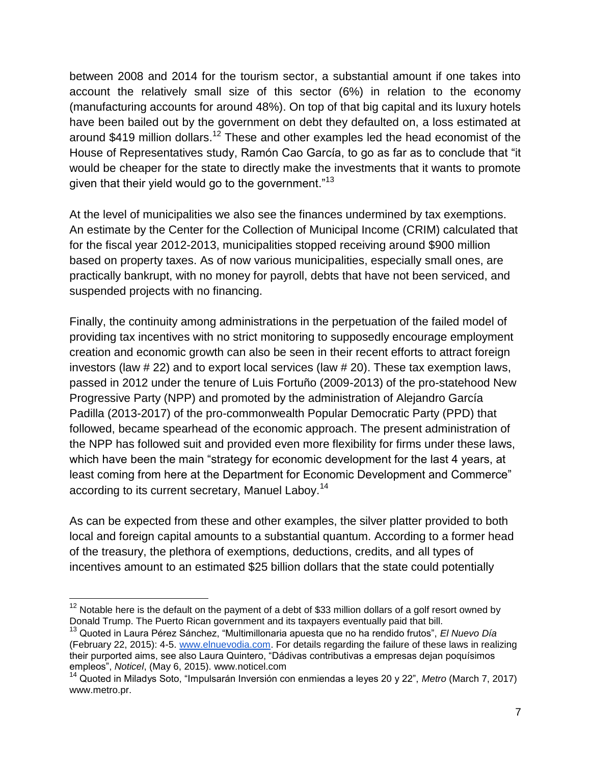between 2008 and 2014 for the tourism sector, a substantial amount if one takes into account the relatively small size of this sector (6%) in relation to the economy (manufacturing accounts for around 48%). On top of that big capital and its luxury hotels have been bailed out by the government on debt they defaulted on, a loss estimated at around \$419 million dollars.<sup>12</sup> These and other examples led the head economist of the House of Representatives study, Ramón Cao García, to go as far as to conclude that "it would be cheaper for the state to directly make the investments that it wants to promote given that their yield would go to the government."<sup>13</sup>

At the level of municipalities we also see the finances undermined by tax exemptions. An estimate by the Center for the Collection of Municipal Income (CRIM) calculated that for the fiscal year 2012-2013, municipalities stopped receiving around \$900 million based on property taxes. As of now various municipalities, especially small ones, are practically bankrupt, with no money for payroll, debts that have not been serviced, and suspended projects with no financing.

Finally, the continuity among administrations in the perpetuation of the failed model of providing tax incentives with no strict monitoring to supposedly encourage employment creation and economic growth can also be seen in their recent efforts to attract foreign investors (law # 22) and to export local services (law # 20). These tax exemption laws, passed in 2012 under the tenure of Luis Fortuño (2009-2013) of the pro-statehood New Progressive Party (NPP) and promoted by the administration of Alejandro García Padilla (2013-2017) of the pro-commonwealth Popular Democratic Party (PPD) that followed, became spearhead of the economic approach. The present administration of the NPP has followed suit and provided even more flexibility for firms under these laws, which have been the main "strategy for economic development for the last 4 years, at least coming from here at the Department for Economic Development and Commerce" according to its current secretary, Manuel Laboy.<sup>14</sup>

As can be expected from these and other examples, the silver platter provided to both local and foreign capital amounts to a substantial quantum. According to a former head of the treasury, the plethora of exemptions, deductions, credits, and all types of incentives amount to an estimated \$25 billion dollars that the state could potentially

 $12$  Notable here is the default on the payment of a debt of \$33 million dollars of a golf resort owned by Donald Trump. The Puerto Rican government and its taxpayers eventually paid that bill.

<sup>13</sup> Quoted in Laura Pérez Sánchez, "Multimillonaria apuesta que no ha rendido frutos", *El Nuevo Día*  (February 22, 2015): 4-5. [www.elnuevodia.com.](http://www.elnuevodia.com/) For details regarding the failure of these laws in realizing their purported aims, see also Laura Quintero, "Dádivas contributivas a empresas dejan poquísimos empleos", *Noticel*, (May 6, 2015). www.noticel.com

<sup>14</sup> Quoted in Miladys Soto, "Impulsarán Inversión con enmiendas a leyes 20 y 22", *Metro* (March 7, 2017) www.metro.pr.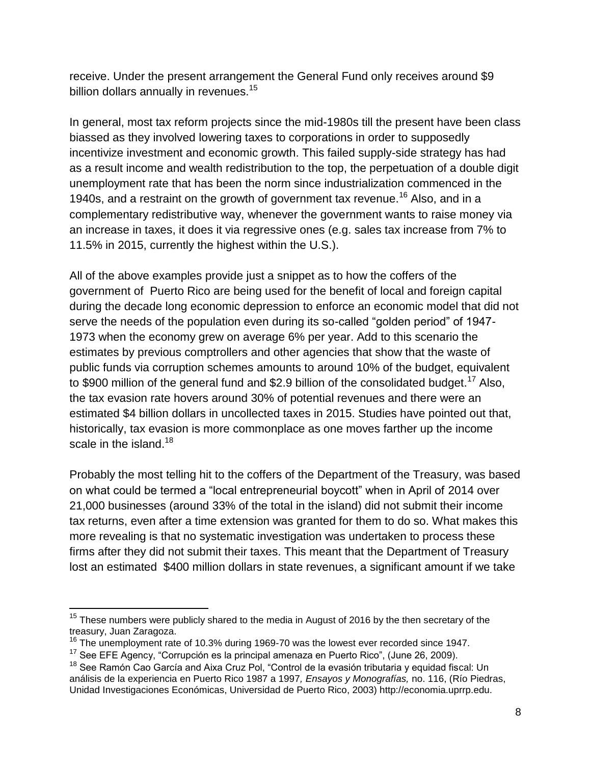receive. Under the present arrangement the General Fund only receives around \$9 billion dollars annually in revenues.<sup>15</sup>

In general, most tax reform projects since the mid-1980s till the present have been class biassed as they involved lowering taxes to corporations in order to supposedly incentivize investment and economic growth. This failed supply-side strategy has had as a result income and wealth redistribution to the top, the perpetuation of a double digit unemployment rate that has been the norm since industrialization commenced in the 1940s, and a restraint on the growth of government tax revenue.<sup>16</sup> Also, and in a complementary redistributive way, whenever the government wants to raise money via an increase in taxes, it does it via regressive ones (e.g. sales tax increase from 7% to 11.5% in 2015, currently the highest within the U.S.).

All of the above examples provide just a snippet as to how the coffers of the government of Puerto Rico are being used for the benefit of local and foreign capital during the decade long economic depression to enforce an economic model that did not serve the needs of the population even during its so-called "golden period" of 1947- 1973 when the economy grew on average 6% per year. Add to this scenario the estimates by previous comptrollers and other agencies that show that the waste of public funds via corruption schemes amounts to around 10% of the budget, equivalent to \$900 million of the general fund and \$2.9 billion of the consolidated budget.<sup>17</sup> Also, the tax evasion rate hovers around 30% of potential revenues and there were an estimated \$4 billion dollars in uncollected taxes in 2015. Studies have pointed out that, historically, tax evasion is more commonplace as one moves farther up the income scale in the island.<sup>18</sup>

Probably the most telling hit to the coffers of the Department of the Treasury, was based on what could be termed a "local entrepreneurial boycott" when in April of 2014 over 21,000 businesses (around 33% of the total in the island) did not submit their income tax returns, even after a time extension was granted for them to do so. What makes this more revealing is that no systematic investigation was undertaken to process these firms after they did not submit their taxes. This meant that the Department of Treasury lost an estimated \$400 million dollars in state revenues, a significant amount if we take

 $15$  These numbers were publicly shared to the media in August of 2016 by the then secretary of the treasury, Juan Zaragoza.

 $16$  The unemployment rate of 10.3% during 1969-70 was the lowest ever recorded since 1947.

 $17$  See EFE Agency, "Corrupción es la principal amenaza en Puerto Rico", (June 26, 2009).

<sup>&</sup>lt;sup>18</sup> See Ramón Cao García and Aixa Cruz Pol, "Control de la evasión tributaria y equidad fiscal: Un análisis de la experiencia en Puerto Rico 1987 a 1997*, Ensayos y Monografías,* no. 116, (Río Piedras, Unidad Investigaciones Económicas, Universidad de Puerto Rico, 2003) http://economia.uprrp.edu.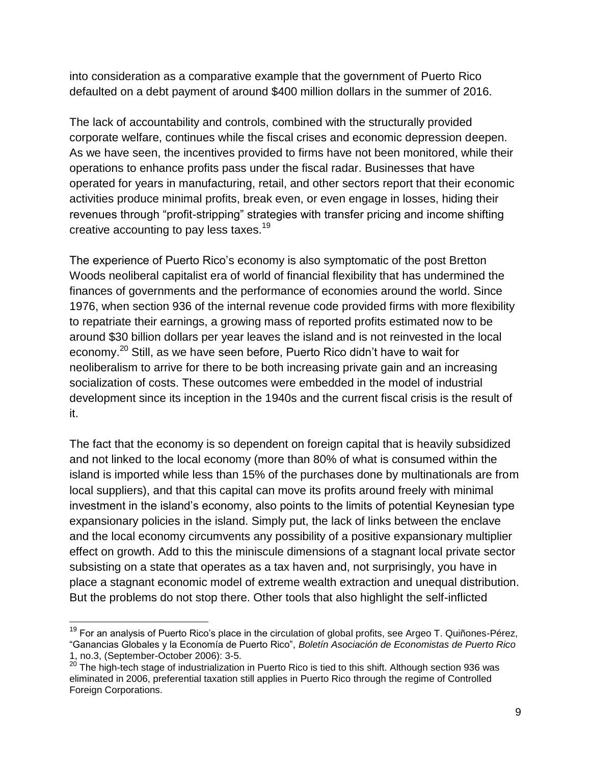into consideration as a comparative example that the government of Puerto Rico defaulted on a debt payment of around \$400 million dollars in the summer of 2016.

The lack of accountability and controls, combined with the structurally provided corporate welfare, continues while the fiscal crises and economic depression deepen. As we have seen, the incentives provided to firms have not been monitored, while their operations to enhance profits pass under the fiscal radar. Businesses that have operated for years in manufacturing, retail, and other sectors report that their economic activities produce minimal profits, break even, or even engage in losses, hiding their revenues through "profit-stripping" strategies with transfer pricing and income shifting creative accounting to pay less taxes.<sup>19</sup>

The experience of Puerto Rico's economy is also symptomatic of the post Bretton Woods neoliberal capitalist era of world of financial flexibility that has undermined the finances of governments and the performance of economies around the world. Since 1976, when section 936 of the internal revenue code provided firms with more flexibility to repatriate their earnings, a growing mass of reported profits estimated now to be around \$30 billion dollars per year leaves the island and is not reinvested in the local economy.<sup>20</sup> Still, as we have seen before, Puerto Rico didn't have to wait for neoliberalism to arrive for there to be both increasing private gain and an increasing socialization of costs. These outcomes were embedded in the model of industrial development since its inception in the 1940s and the current fiscal crisis is the result of it.

The fact that the economy is so dependent on foreign capital that is heavily subsidized and not linked to the local economy (more than 80% of what is consumed within the island is imported while less than 15% of the purchases done by multinationals are from local suppliers), and that this capital can move its profits around freely with minimal investment in the island's economy, also points to the limits of potential Keynesian type expansionary policies in the island. Simply put, the lack of links between the enclave and the local economy circumvents any possibility of a positive expansionary multiplier effect on growth. Add to this the miniscule dimensions of a stagnant local private sector subsisting on a state that operates as a tax haven and, not surprisingly, you have in place a stagnant economic model of extreme wealth extraction and unequal distribution. But the problems do not stop there. Other tools that also highlight the self-inflicted

<sup>&</sup>lt;sup>19</sup> For an analysis of Puerto Rico's place in the circulation of global profits, see Argeo T. Quiñones-Pérez, "Ganancias Globales y la Economía de Puerto Rico", *Boletín Asociación de Economistas de Puerto Rico* 1, no.3, (September-October 2006): 3-5.

 $20$  The high-tech stage of industrialization in Puerto Rico is tied to this shift. Although section 936 was eliminated in 2006, preferential taxation still applies in Puerto Rico through the regime of Controlled Foreign Corporations.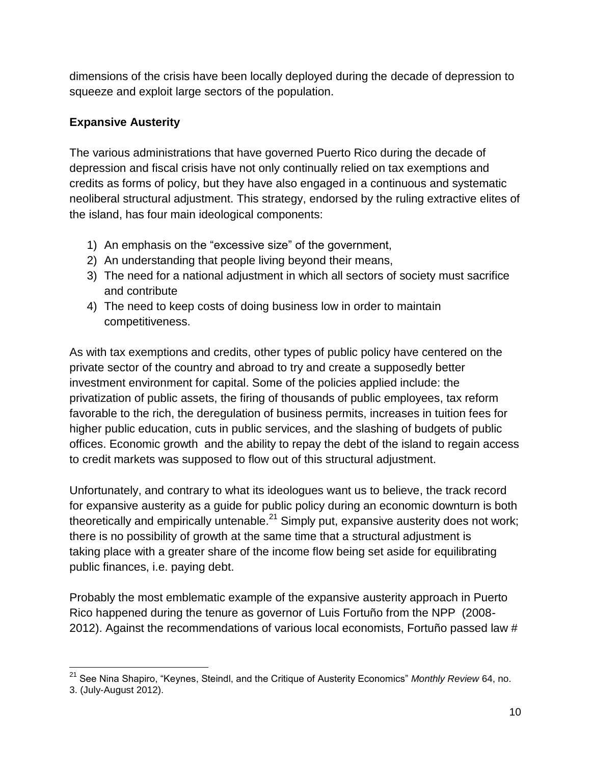dimensions of the crisis have been locally deployed during the decade of depression to squeeze and exploit large sectors of the population.

## **Expansive Austerity**

The various administrations that have governed Puerto Rico during the decade of depression and fiscal crisis have not only continually relied on tax exemptions and credits as forms of policy, but they have also engaged in a continuous and systematic neoliberal structural adjustment. This strategy, endorsed by the ruling extractive elites of the island, has four main ideological components:

- 1) An emphasis on the "excessive size" of the government,
- 2) An understanding that people living beyond their means,
- 3) The need for a national adjustment in which all sectors of society must sacrifice and contribute
- 4) The need to keep costs of doing business low in order to maintain competitiveness.

As with tax exemptions and credits, other types of public policy have centered on the private sector of the country and abroad to try and create a supposedly better investment environment for capital. Some of the policies applied include: the privatization of public assets, the firing of thousands of public employees, tax reform favorable to the rich, the deregulation of business permits, increases in tuition fees for higher public education, cuts in public services, and the slashing of budgets of public offices. Economic growth and the ability to repay the debt of the island to regain access to credit markets was supposed to flow out of this structural adjustment.

Unfortunately, and contrary to what its ideologues want us to believe, the track record for expansive austerity as a guide for public policy during an economic downturn is both theoretically and empirically untenable. $^{21}$  Simply put, expansive austerity does not work; there is no possibility of growth at the same time that a structural adjustment is taking place with a greater share of the income flow being set aside for equilibrating public finances, i.e. paying debt.

Probably the most emblematic example of the expansive austerity approach in Puerto Rico happened during the tenure as governor of Luis Fortuño from the NPP (2008- 2012). Against the recommendations of various local economists, Fortuño passed law #

<sup>21</sup> See Nina Shapiro, "Keynes, Steindl, and the Critique of Austerity Economics" *Monthly Review* 64, no.

<sup>3. (</sup>July-August 2012).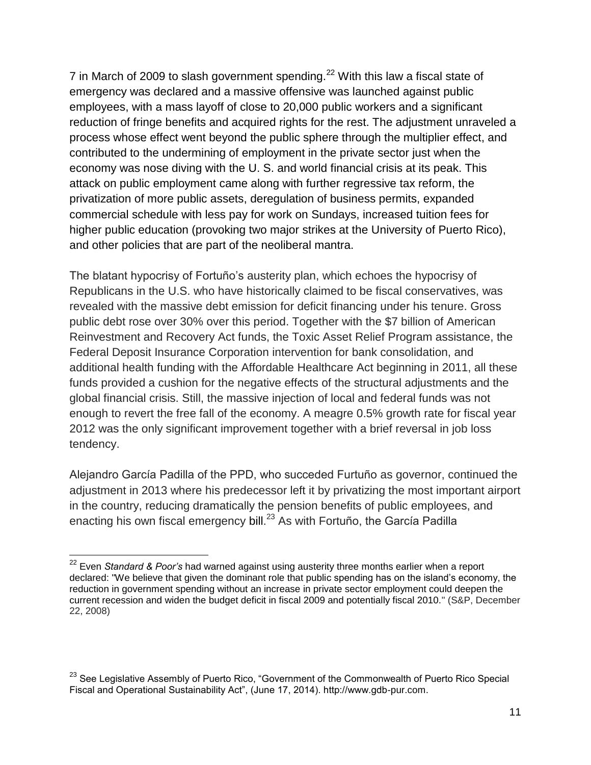7 in March of 2009 to slash government spending.<sup>22</sup> With this law a fiscal state of emergency was declared and a massive offensive was launched against public employees, with a mass layoff of close to 20,000 public workers and a significant reduction of fringe benefits and acquired rights for the rest. The adjustment unraveled a process whose effect went beyond the public sphere through the multiplier effect, and contributed to the undermining of employment in the private sector just when the economy was nose diving with the U. S. and world financial crisis at its peak. This attack on public employment came along with further regressive tax reform, the privatization of more public assets, deregulation of business permits, expanded commercial schedule with less pay for work on Sundays, increased tuition fees for higher public education (provoking two major strikes at the University of Puerto Rico), and other policies that are part of the neoliberal mantra.

The blatant hypocrisy of Fortuño's austerity plan, which echoes the hypocrisy of Republicans in the U.S. who have historically claimed to be fiscal conservatives, was revealed with the massive debt emission for deficit financing under his tenure. Gross public debt rose over 30% over this period. Together with the \$7 billion of American Reinvestment and Recovery Act funds, the Toxic Asset Relief Program assistance, the Federal Deposit Insurance Corporation intervention for bank consolidation, and additional health funding with the Affordable Healthcare Act beginning in 2011, all these funds provided a cushion for the negative effects of the structural adjustments and the global financial crisis. Still, the massive injection of local and federal funds was not enough to revert the free fall of the economy. A meagre 0.5% growth rate for fiscal year 2012 was the only significant improvement together with a brief reversal in job loss tendency.

Alejandro García Padilla of the PPD, who succeded Furtuño as governor, continued the adjustment in 2013 where his predecessor left it by privatizing the most important airport in the country, reducing dramatically the pension benefits of public employees, and enacting his own fiscal emergency bill.<sup>23</sup> As with Fortuño, the García Padilla

<sup>22</sup> Even *Standard & Poor's* had warned against using austerity three months earlier when a report declared: "We believe that given the dominant role that public spending has on the island's economy, the reduction in government spending without an increase in private sector employment could deepen the current recession and widen the budget deficit in fiscal 2009 and potentially fiscal 2010." (S&P, December 22, 2008)

<sup>&</sup>lt;sup>23</sup> See Legislative Assembly of Puerto Rico, "Government of the Commonwealth of Puerto Rico Special Fiscal and Operational Sustainability Act", (June 17, 2014). http://www.gdb-pur.com.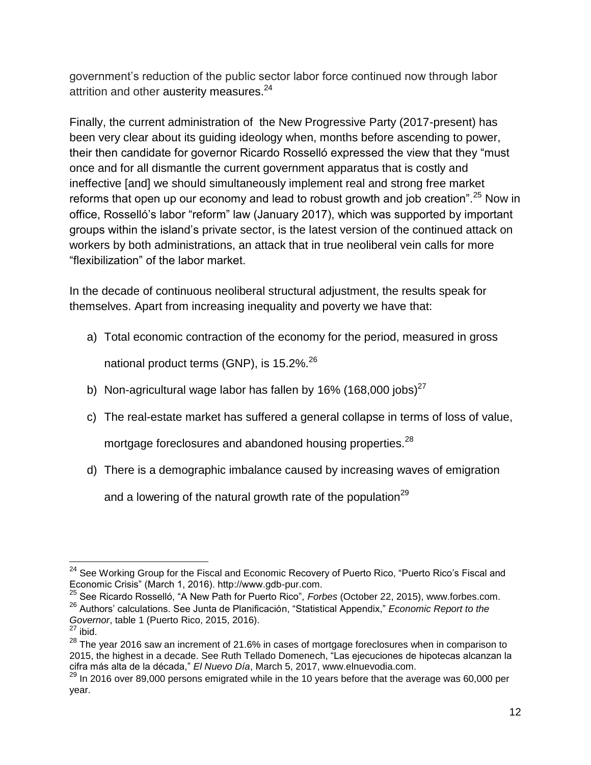government's reduction of the public sector labor force continued now through labor attrition and other austerity measures.<sup>24</sup>

Finally, the current administration of the New Progressive Party (2017-present) has been very clear about its guiding ideology when, months before ascending to power, their then candidate for governor Ricardo Rosselló expressed the view that they "must once and for all dismantle the current government apparatus that is costly and ineffective [and] we should simultaneously implement real and strong free market reforms that open up our economy and lead to robust growth and job creation".<sup>25</sup> Now in office, Rosselló's labor "reform" law (January 2017), which was supported by important groups within the island's private sector, is the latest version of the continued attack on workers by both administrations, an attack that in true neoliberal vein calls for more "flexibilization" of the labor market.

In the decade of continuous neoliberal structural adjustment, the results speak for themselves. Apart from increasing inequality and poverty we have that:

- a) Total economic contraction of the economy for the period, measured in gross national product terms (GNP), is 15.2%.<sup>26</sup>
- b) Non-agricultural wage labor has fallen by 16% (168,000 jobs)<sup>27</sup>
- c) The real-estate market has suffered a general collapse in terms of loss of value,

mortgage foreclosures and abandoned housing properties.<sup>28</sup>

d) There is a demographic imbalance caused by increasing waves of emigration

and a lowering of the natural growth rate of the population<sup>29</sup>

 <sup>24</sup> See Working Group for the Fiscal and Economic Recovery of Puerto Rico, "Puerto Rico's Fiscal and Economic Crisis" (March 1, 2016). http://www.gdb-pur.com.

<sup>25</sup> See Ricardo Rosselló, "A New Path for Puerto Rico", *Forbes* (October 22, 2015), www.forbes.com. <sup>26</sup> Authors' calculations. See Junta de Planificación, "Statistical Appendix," *Economic Report to the Governor*, table 1 (Puerto Rico, 2015, 2016).

 $^{27}$  ibid.

<sup>&</sup>lt;sup>28</sup> The vear 2016 saw an increment of 21.6% in cases of mortgage foreclosures when in comparison to 2015, the highest in a decade. See Ruth Tellado Domenech, "Las ejecuciones de hipotecas alcanzan la cifra más alta de la década," *El Nuevo Día*, March 5, 2017, www.elnuevodia.com.

 $^{29}$  In 2016 over 89,000 persons emigrated while in the 10 years before that the average was 60,000 per year.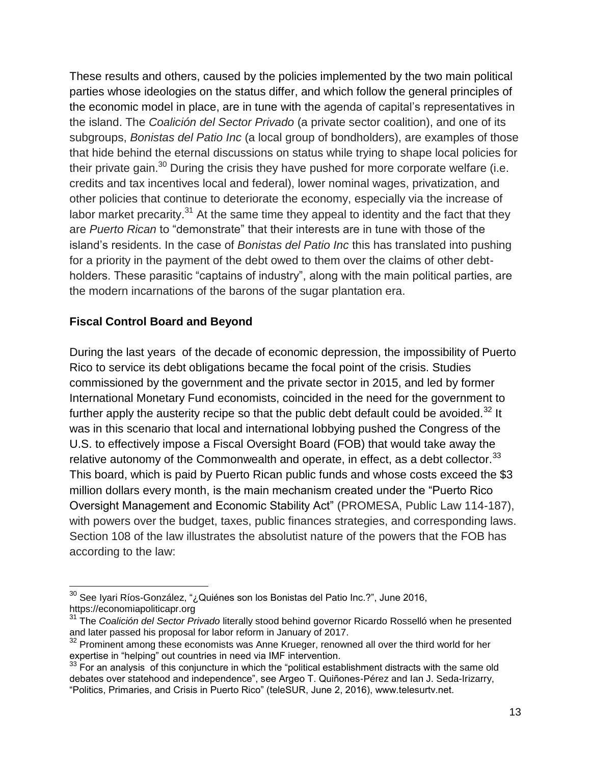These results and others, caused by the policies implemented by the two main political parties whose ideologies on the status differ, and which follow the general principles of the economic model in place, are in tune with the agenda of capital's representatives in the island. The *Coalición del Sector Privado* (a private sector coalition), and one of its subgroups, *Bonistas del Patio Inc* (a local group of bondholders), are examples of those that hide behind the eternal discussions on status while trying to shape local policies for their private gain. $30$  During the crisis they have pushed for more corporate welfare (i.e. credits and tax incentives local and federal), lower nominal wages, privatization, and other policies that continue to deteriorate the economy, especially via the increase of labor market precarity.<sup>31</sup> At the same time they appeal to identity and the fact that they are *Puerto Rican* to "demonstrate" that their interests are in tune with those of the island's residents. In the case of *Bonistas del Patio Inc* this has translated into pushing for a priority in the payment of the debt owed to them over the claims of other debtholders. These parasitic "captains of industry", along with the main political parties, are the modern incarnations of the barons of the sugar plantation era.

#### **Fiscal Control Board and Beyond**

During the last years of the decade of economic depression, the impossibility of Puerto Rico to service its debt obligations became the focal point of the crisis. Studies commissioned by the government and the private sector in 2015, and led by former International Monetary Fund economists, coincided in the need for the government to further apply the austerity recipe so that the public debt default could be avoided.<sup>32</sup> It was in this scenario that local and international lobbying pushed the Congress of the U.S. to effectively impose a Fiscal Oversight Board (FOB) that would take away the relative autonomy of the Commonwealth and operate, in effect, as a debt collector. $^{33}$ This board, which is paid by Puerto Rican public funds and whose costs exceed the \$3 million dollars every month, is the main mechanism created under the "Puerto Rico Oversight Management and Economic Stability Act" (PROMESA, Public Law 114-187), with powers over the budget, taxes, public finances strategies, and corresponding laws. Section 108 of the law illustrates the absolutist nature of the powers that the FOB has according to the law:

 $\overline{a}$ <sup>30</sup> See Iyari Ríos-González, "¿Quiénes son los Bonistas del Patio Inc.?", June 2016, https://economiapoliticapr.org

<sup>31</sup> The *Coalición del Sector Privado* literally stood behind governor Ricardo Rosselló when he presented and later passed his proposal for labor reform in January of 2017.

 $32$  Prominent among these economists was Anne Krueger, renowned all over the third world for her expertise in "helping" out countries in need via IMF intervention.

 $33$  For an analysis of this conjuncture in which the "political establishment distracts with the same old debates over statehood and independence", see Argeo T. Quiñones-Pérez and Ian J. Seda-Irizarry, "Politics, Primaries, and Crisis in Puerto Rico" (teleSUR, June 2, 2016), www.telesurtv.net.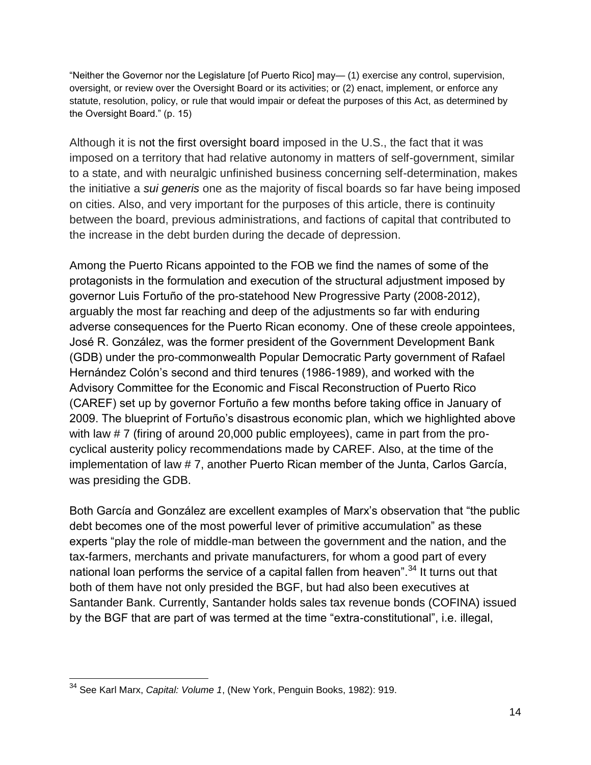"Neither the Governor nor the Legislature [of Puerto Rico] may— (1) exercise any control, supervision, oversight, or review over the Oversight Board or its activities; or (2) enact, implement, or enforce any statute, resolution, policy, or rule that would impair or defeat the purposes of this Act, as determined by the Oversight Board." (p. 15)

Although it is not the first oversight board imposed in the U.S., the fact that it was imposed on a territory that had relative autonomy in matters of self-government, similar to a state, and with neuralgic unfinished business concerning self-determination, makes the initiative a *sui generis* one as the majority of fiscal boards so far have being imposed on cities. Also, and very important for the purposes of this article, there is continuity between the board, previous administrations, and factions of capital that contributed to the increase in the debt burden during the decade of depression.

Among the Puerto Ricans appointed to the FOB we find the names of some of the protagonists in the formulation and execution of the structural adjustment imposed by governor Luis Fortuño of the pro-statehood New Progressive Party (2008-2012), arguably the most far reaching and deep of the adjustments so far with enduring adverse consequences for the Puerto Rican economy. One of these creole appointees, José R. González, was the former president of the Government Development Bank (GDB) under the pro-commonwealth Popular Democratic Party government of Rafael Hernández Colón's second and third tenures (1986-1989), and worked with the Advisory Committee for the Economic and Fiscal Reconstruction of Puerto Rico (CAREF) set up by governor Fortuño a few months before taking office in January of 2009. The blueprint of Fortuño's disastrous economic plan, which we highlighted above with law # 7 (firing of around 20,000 public employees), came in part from the procyclical austerity policy recommendations made by CAREF. Also, at the time of the implementation of law # 7, another Puerto Rican member of the Junta, Carlos García, was presiding the GDB.

Both García and González are excellent examples of Marx's observation that "the public debt becomes one of the most powerful lever of primitive accumulation" as these experts "play the role of middle-man between the government and the nation, and the tax-farmers, merchants and private manufacturers, for whom a good part of every national loan performs the service of a capital fallen from heaven".<sup>34</sup> It turns out that both of them have not only presided the BGF, but had also been executives at Santander Bank. Currently, Santander holds sales tax revenue bonds (COFINA) issued by the BGF that are part of was termed at the time "extra-constitutional", i.e. illegal,

<sup>34</sup> See Karl Marx, *Capital: Volume 1*, (New York, Penguin Books, 1982): 919.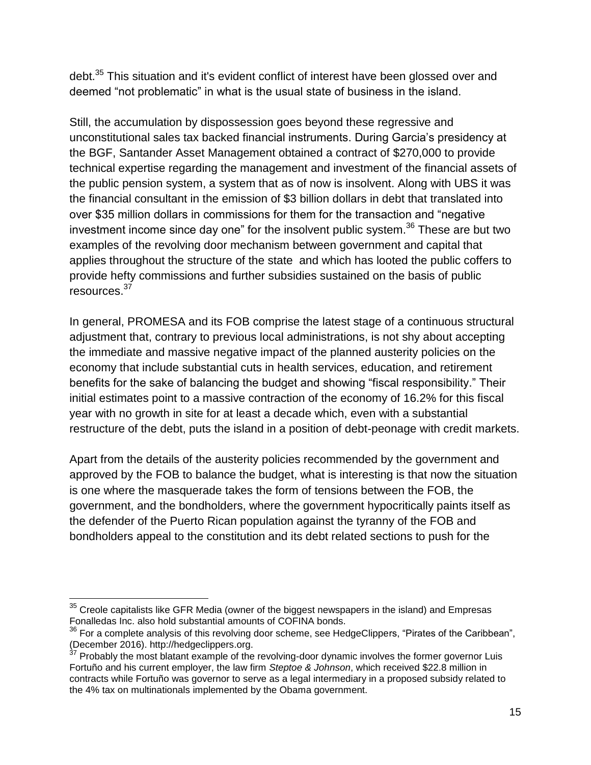debt.<sup>35</sup> This situation and it's evident conflict of interest have been glossed over and deemed "not problematic" in what is the usual state of business in the island.

Still, the accumulation by dispossession goes beyond these regressive and unconstitutional sales tax backed financial instruments. During Garcia's presidency at the BGF, Santander Asset Management obtained a contract of \$270,000 to provide technical expertise regarding the management and investment of the financial assets of the public pension system, a system that as of now is insolvent. Along with UBS it was the financial consultant in the emission of \$3 billion dollars in debt that translated into over \$35 million dollars in commissions for them for the transaction and "negative investment income since day one" for the insolvent public system.<sup>36</sup> These are but two examples of the revolving door mechanism between government and capital that applies throughout the structure of the state and which has looted the public coffers to provide hefty commissions and further subsidies sustained on the basis of public resources.<sup>37</sup>

In general, PROMESA and its FOB comprise the latest stage of a continuous structural adjustment that, contrary to previous local administrations, is not shy about accepting the immediate and massive negative impact of the planned austerity policies on the economy that include substantial cuts in health services, education, and retirement benefits for the sake of balancing the budget and showing "fiscal responsibility." Their initial estimates point to a massive contraction of the economy of 16.2% for this fiscal year with no growth in site for at least a decade which, even with a substantial restructure of the debt, puts the island in a position of debt-peonage with credit markets.

Apart from the details of the austerity policies recommended by the government and approved by the FOB to balance the budget, what is interesting is that now the situation is one where the masquerade takes the form of tensions between the FOB, the government, and the bondholders, where the government hypocritically paints itself as the defender of the Puerto Rican population against the tyranny of the FOB and bondholders appeal to the constitution and its debt related sections to push for the

 $35$  Creole capitalists like GFR Media (owner of the biggest newspapers in the island) and Empresas Fonalledas Inc. also hold substantial amounts of COFINA bonds.

<sup>&</sup>lt;sup>36</sup> For a complete analysis of this revolving door scheme, see HedgeClippers, "Pirates of the Caribbean", (December 2016). http://hedgeclippers.org.

 $37$  Probably the most blatant example of the revolving-door dynamic involves the former governor Luis Fortuño and his current employer, the law firm *Steptoe & Johnson*, which received \$22.8 million in contracts while Fortuño was governor to serve as a legal intermediary in a proposed subsidy related to the 4% tax on multinationals implemented by the Obama government.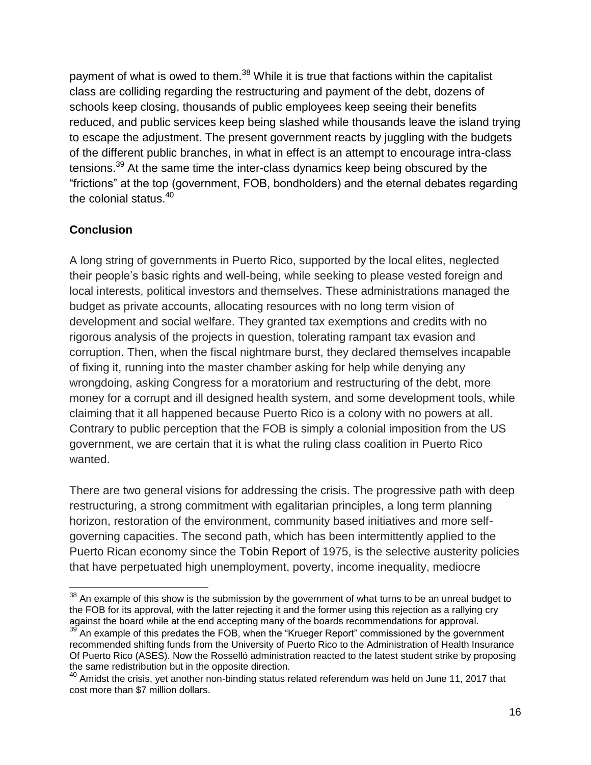payment of what is owed to them.<sup>38</sup> While it is true that factions within the capitalist class are colliding regarding the restructuring and payment of the debt, dozens of schools keep closing, thousands of public employees keep seeing their benefits reduced, and public services keep being slashed while thousands leave the island trying to escape the adjustment. The present government reacts by juggling with the budgets of the different public branches, in what in effect is an attempt to encourage intra-class tensions.<sup>39</sup> At the same time the inter-class dynamics keep being obscured by the "frictions" at the top (government, FOB, bondholders) and the eternal debates regarding the colonial status. $40$ 

## **Conclusion**

A long string of governments in Puerto Rico, supported by the local elites, neglected their people's basic rights and well-being, while seeking to please vested foreign and local interests, political investors and themselves. These administrations managed the budget as private accounts, allocating resources with no long term vision of development and social welfare. They granted tax exemptions and credits with no rigorous analysis of the projects in question, tolerating rampant tax evasion and corruption. Then, when the fiscal nightmare burst, they declared themselves incapable of fixing it, running into the master chamber asking for help while denying any wrongdoing, asking Congress for a moratorium and restructuring of the debt, more money for a corrupt and ill designed health system, and some development tools, while claiming that it all happened because Puerto Rico is a colony with no powers at all. Contrary to public perception that the FOB is simply a colonial imposition from the US government, we are certain that it is what the ruling class coalition in Puerto Rico wanted.

There are two general visions for addressing the crisis. The progressive path with deep restructuring, a strong commitment with egalitarian principles, a long term planning horizon, restoration of the environment, community based initiatives and more selfgoverning capacities. The second path, which has been intermittently applied to the Puerto Rican economy since the Tobin Report of 1975, is the selective austerity policies that have perpetuated high unemployment, poverty, income inequality, mediocre

 $38$  An example of this show is the submission by the government of what turns to be an unreal budget to the FOB for its approval, with the latter rejecting it and the former using this rejection as a rallying cry against the board while at the end accepting many of the boards recommendations for approval.

 $\beta$  An example of this predates the FOB, when the "Krueger Report" commissioned by the government recommended shifting funds from the University of Puerto Rico to the Administration of Health Insurance Of Puerto Rico (ASES). Now the Rosselló administration reacted to the latest student strike by proposing the same redistribution but in the opposite direction.

<sup>&</sup>lt;sup>40</sup> Amidst the crisis, yet another non-binding status related referendum was held on June 11, 2017 that cost more than \$7 million dollars.